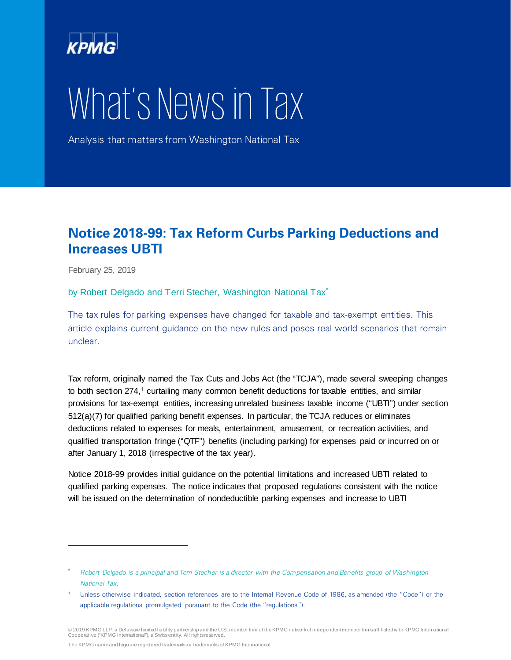

# What's News in Tax

Analysis that matters from Washington National Tax

# **Notice 2018-99: Tax Reform Curbs Parking Deductions and Increases UBTI**

February 25, 2019

l

by Robert Delgado and Terri Stecher, Washington National Tax<sup>[\\*](#page-0-0)</sup>

The tax rules for parking expenses have changed for taxable and tax-exempt entities. This article explains current guidance on the new rules and poses real world scenarios that remain unclear.

Tax reform, originally named the Tax Cuts and Jobs Act (the "TCJA"), made several sweeping changes to both section 274,<sup>[1](#page-0-1)</sup> curtailing many common benefit deductions for taxable entities, and similar provisions for tax-exempt entities, increasing unrelated business taxable income ("UBTI") under section 512(a)(7) for qualified parking benefit expenses. In particular, the TCJA reduces or eliminates deductions related to expenses for meals, entertainment, amusement, or recreation activities, and qualified transportation fringe ("QTF") benefits (including parking) for expenses paid or incurred on or after January 1, 2018 (irrespective of the tax year).

Notice 2018-99 provides initial guidance on the potential limitations and increased UBTI related to qualified parking expenses. The notice indicates that proposed regulations consistent with the notice will be issued on the determination of nondeductible parking expenses and increase to UBTI

<span id="page-0-0"></span>Robert Delgado is a principal and Terri Stecher is a director with the Compensation and Benefits group of Washington National Tax.

<span id="page-0-1"></span>Unless otherwise indicated, section references are to the Internal Revenue Code of 1986, as amended (the "Code") or the applicable regulations promulgated pursuant to the Code (the "regulations").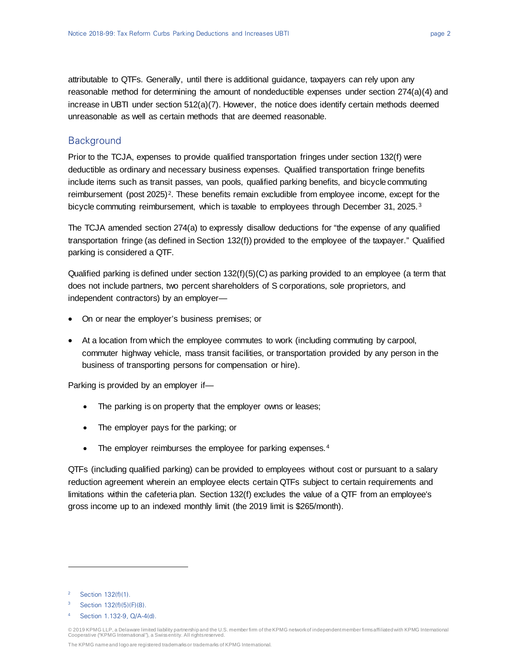attributable to QTFs. Generally, until there is additional guidance, taxpayers can rely upon any reasonable method for determining the amount of nondeductible expenses under section 274(a)(4) and increase in UBTI under section 512(a)(7). However, the notice does identify certain methods deemed unreasonable as well as certain methods that are deemed reasonable.

# **Background**

Prior to the TCJA, expenses to provide qualified transportation fringes under section 132(f) were deductible as ordinary and necessary business expenses. Qualified transportation fringe benefits include items such as transit passes, van pools, qualified parking benefits, and bicycle commuting reimbursement (post [2](#page-1-0)025)<sup>2</sup>. These benefits remain excludible from employee income, except for the bicycle commuting reimbursement, which is taxable to employees through December [3](#page-1-1)1, 2025.<sup>3</sup>

The TCJA amended section 274(a) to expressly disallow deductions for "the expense of any qualified transportation fringe (as defined in Section 132(f)) provided to the employee of the taxpayer." Qualified parking is considered a QTF.

Qualified parking is defined under section 132(f)(5)(C) as parking provided to an employee (a term that does not include partners, two percent shareholders of S corporations, sole proprietors, and independent contractors) by an employer—

- On or near the employer's business premises; or
- At a location from which the employee commutes to work (including commuting by carpool, commuter highway vehicle, mass transit facilities, or transportation provided by any person in the business of transporting persons for compensation or hire).

Parking is provided by an employer if—

- The parking is on property that the employer owns or leases;
- The employer pays for the parking; or
- The employer reimburses the employee for parking expenses.<sup>[4](#page-1-2)</sup>

QTFs (including qualified parking) can be provided to employees without cost or pursuant to a salary reduction agreement wherein an employee elects certain QTFs subject to certain requirements and limitations within the cafeteria plan. Section 132(f) excludes the value of a QTF from an employee's gross income up to an indexed monthly limit (the 2019 limit is \$265/month).

l

<sup>4</sup> Section 1.132-9, Q/A-4(d).

<span id="page-1-0"></span>Section 132(f)(1).

<span id="page-1-2"></span><span id="page-1-1"></span><sup>3</sup> Section 132(f)(5)(F)(8).

<sup>© 2019</sup> KPMG LLP, a Delaware limited liability partnership and the U.S. member firm of the KPMG network of independent member firms affiliated with KPMG International Cooperative ("KPMG International"), a Swiss entity. All rights reserved.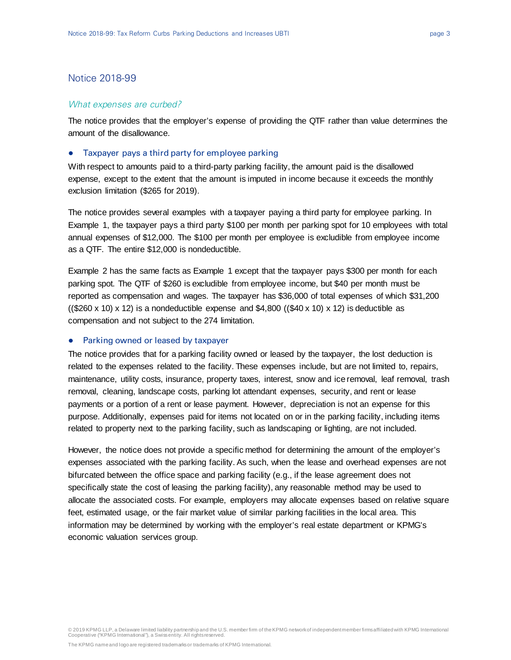# Notice 2018-99

#### What expenses are curbed?

The notice provides that the employer's expense of providing the QTF rather than value determines the amount of the disallowance.

#### ● Taxpayer pays a third party for employee parking

With respect to amounts paid to a third-party parking facility, the amount paid is the disallowed expense, except to the extent that the amount is imputed in income because it exceeds the monthly exclusion limitation (\$265 for 2019).

The notice provides several examples with a taxpayer paying a third party for employee parking. In Example 1, the taxpayer pays a third party \$100 per month per parking spot for 10 employees with total annual expenses of \$12,000. The \$100 per month per employee is excludible from employee income as a QTF. The entire \$12,000 is nondeductible.

Example 2 has the same facts as Example 1 except that the taxpayer pays \$300 per month for each parking spot. The QTF of \$260 is excludible from employee income, but \$40 per month must be reported as compensation and wages. The taxpayer has \$36,000 of total expenses of which \$31,200  $((\$260 \times 10) \times 12)$  is a nondeductible expense and  $\$4,800$   $((\$40 \times 10) \times 12)$  is deductible as compensation and not subject to the 274 limitation.

#### ● Parking owned or leased by taxpayer

The notice provides that for a parking facility owned or leased by the taxpayer, the lost deduction is related to the expenses related to the facility. These expenses include, but are not limited to, repairs, maintenance, utility costs, insurance, property taxes, interest, snow and ice removal, leaf removal, trash removal, cleaning, landscape costs, parking lot attendant expenses, security, and rent or lease payments or a portion of a rent or lease payment. However, depreciation is not an expense for this purpose. Additionally, expenses paid for items not located on or in the parking facility, including items related to property next to the parking facility, such as landscaping or lighting, are not included.

However, the notice does not provide a specific method for determining the amount of the employer's expenses associated with the parking facility. As such, when the lease and overhead expenses are not bifurcated between the office space and parking facility (e.g., if the lease agreement does not specifically state the cost of leasing the parking facility), any reasonable method may be used to allocate the associated costs. For example, employers may allocate expenses based on relative square feet, estimated usage, or the fair market value of similar parking facilities in the local area. This information may be determined by working with the employer's real estate department or KPMG's economic valuation services group.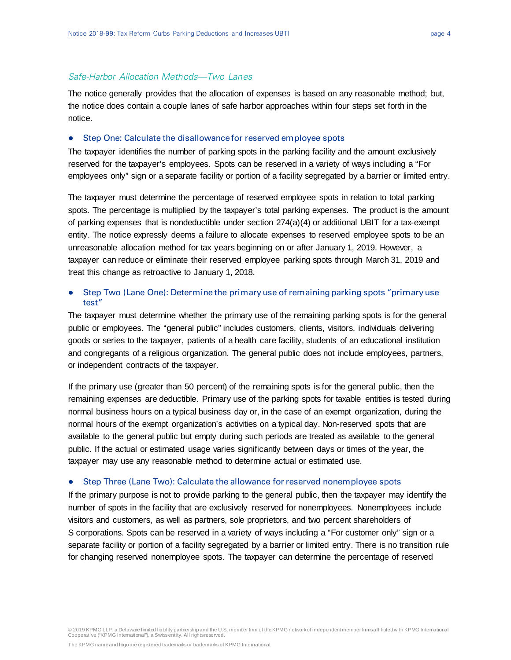#### Safe-Harbor Allocation Methods—Two Lanes

The notice generally provides that the allocation of expenses is based on any reasonable method; but, the notice does contain a couple lanes of safe harbor approaches within four steps set forth in the notice.

#### ● Step One: Calculate the disallowance for reserved employee spots

The taxpayer identifies the number of parking spots in the parking facility and the amount exclusively reserved for the taxpayer's employees. Spots can be reserved in a variety of ways including a "For employees only" sign or a separate facility or portion of a facility segregated by a barrier or limited entry.

The taxpayer must determine the percentage of reserved employee spots in relation to total parking spots. The percentage is multiplied by the taxpayer's total parking expenses. The product is the amount of parking expenses that is nondeductible under section 274(a)(4) or additional UBIT for a tax-exempt entity. The notice expressly deems a failure to allocate expenses to reserved employee spots to be an unreasonable allocation method for tax years beginning on or after January 1, 2019. However, a taxpayer can reduce or eliminate their reserved employee parking spots through March 31, 2019 and treat this change as retroactive to January 1, 2018.

## ● Step Two (Lane One): Determine the primary use of remaining parking spots "primary use test"

The taxpayer must determine whether the primary use of the remaining parking spots is for the general public or employees. The "general public" includes customers, clients, visitors, individuals delivering goods or series to the taxpayer, patients of a health care facility, students of an educational institution and congregants of a religious organization. The general public does not include employees, partners, or independent contracts of the taxpayer.

If the primary use (greater than 50 percent) of the remaining spots is for the general public, then the remaining expenses are deductible. Primary use of the parking spots for taxable entities is tested during normal business hours on a typical business day or, in the case of an exempt organization, during the normal hours of the exempt organization's activities on a typical day. Non-reserved spots that are available to the general public but empty during such periods are treated as available to the general public. If the actual or estimated usage varies significantly between days or times of the year, the taxpayer may use any reasonable method to determine actual or estimated use.

#### ● Step Three (Lane Two): Calculate the allowance for reserved nonemployee spots

If the primary purpose is not to provide parking to the general public, then the taxpayer may identify the number of spots in the facility that are exclusively reserved for nonemployees. Nonemployees include visitors and customers, as well as partners, sole proprietors, and two percent shareholders of S corporations. Spots can be reserved in a variety of ways including a "For customer only" sign or a separate facility or portion of a facility segregated by a barrier or limited entry. There is no transition rule for changing reserved nonemployee spots. The taxpayer can determine the percentage of reserved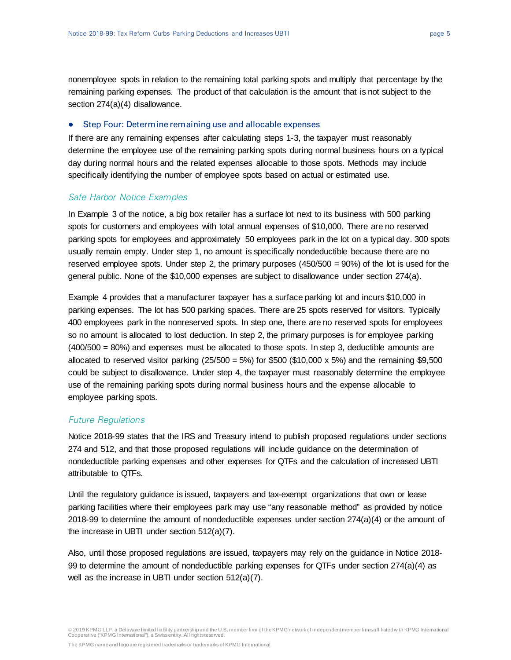nonemployee spots in relation to the remaining total parking spots and multiply that percentage by the remaining parking expenses. The product of that calculation is the amount that is not subject to the section 274(a)(4) disallowance.

#### ● Step Four: Determine remaining use and allocable expenses

If there are any remaining expenses after calculating steps 1-3, the taxpayer must reasonably determine the employee use of the remaining parking spots during normal business hours on a typical day during normal hours and the related expenses allocable to those spots. Methods may include specifically identifying the number of employee spots based on actual or estimated use.

## Safe Harbor Notice Examples

In Example 3 of the notice, a big box retailer has a surface lot next to its business with 500 parking spots for customers and employees with total annual expenses of \$10,000. There are no reserved parking spots for employees and approximately 50 employees park in the lot on a typical day. 300 spots usually remain empty. Under step 1, no amount is specifically nondeductible because there are no reserved employee spots. Under step 2, the primary purposes (450/500 = 90%) of the lot is used for the general public. None of the \$10,000 expenses are subject to disallowance under section 274(a).

Example 4 provides that a manufacturer taxpayer has a surface parking lot and incurs \$10,000 in parking expenses. The lot has 500 parking spaces. There are 25 spots reserved for visitors. Typically 400 employees park in the nonreserved spots. In step one, there are no reserved spots for employees so no amount is allocated to lost deduction. In step 2, the primary purposes is for employee parking (400/500 = 80%) and expenses must be allocated to those spots. In step 3, deductible amounts are allocated to reserved visitor parking  $(25/500 = 5\%)$  for \$500 (\$10,000 x 5%) and the remaining \$9,500 could be subject to disallowance. Under step 4, the taxpayer must reasonably determine the employee use of the remaining parking spots during normal business hours and the expense allocable to employee parking spots.

# Future Regulations

Notice 2018-99 states that the IRS and Treasury intend to publish proposed regulations under sections 274 and 512, and that those proposed regulations will include guidance on the determination of nondeductible parking expenses and other expenses for QTFs and the calculation of increased UBTI attributable to QTFs.

Until the regulatory guidance is issued, taxpayers and tax-exempt organizations that own or lease parking facilities where their employees park may use "any reasonable method" as provided by notice 2018-99 to determine the amount of nondeductible expenses under section 274(a)(4) or the amount of the increase in UBTI under section 512(a)(7).

Also, until those proposed regulations are issued, taxpayers may rely on the guidance in Notice 2018- 99 to determine the amount of nondeductible parking expenses for QTFs under section 274(a)(4) as well as the increase in UBTI under section 512(a)(7).

The KPMG name and logo are registered trademarks or trademarks of KPMG International.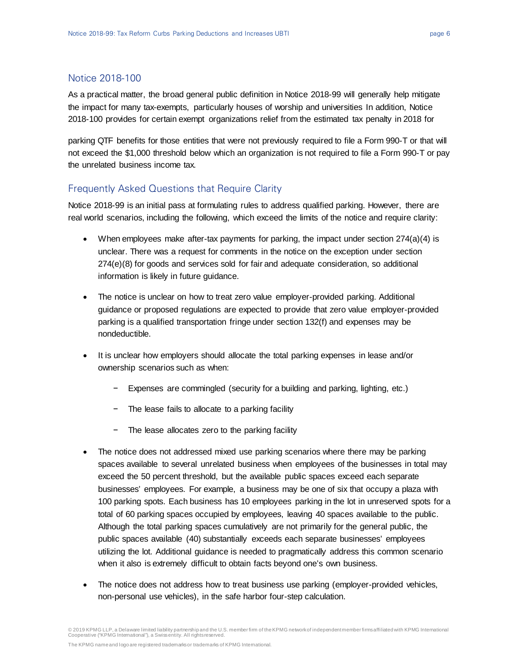# Notice 2018-100

As a practical matter, the broad general public definition in Notice 2018-99 will generally help mitigate the impact for many tax-exempts, particularly houses of worship and universities In addition, Notice 2018-100 provides for certain exempt organizations relief from the estimated tax penalty in 2018 for

parking QTF benefits for those entities that were not previously required to file a Form 990-T or that will not exceed the \$1,000 threshold below which an organization is not required to file a Form 990-T or pay the unrelated business income tax.

# Frequently Asked Questions that Require Clarity

Notice 2018-99 is an initial pass at formulating rules to address qualified parking. However, there are real world scenarios, including the following, which exceed the limits of the notice and require clarity:

- When employees make after-tax payments for parking, the impact under section  $274(a)(4)$  is unclear. There was a request for comments in the notice on the exception under section 274(e)(8) for goods and services sold for fair and adequate consideration, so additional information is likely in future guidance.
- The notice is unclear on how to treat zero value employer-provided parking. Additional guidance or proposed regulations are expected to provide that zero value employer-provided parking is a qualified transportation fringe under section 132(f) and expenses may be nondeductible.
- It is unclear how employers should allocate the total parking expenses in lease and/or ownership scenarios such as when:
	- − Expenses are commingled (security for a building and parking, lighting, etc.)
	- − The lease fails to allocate to a parking facility
	- The lease allocates zero to the parking facility
- The notice does not addressed mixed use parking scenarios where there may be parking spaces available to several unrelated business when employees of the businesses in total may exceed the 50 percent threshold, but the available public spaces exceed each separate businesses' employees. For example, a business may be one of six that occupy a plaza with 100 parking spots. Each business has 10 employees parking in the lot in unreserved spots for a total of 60 parking spaces occupied by employees, leaving 40 spaces available to the public. Although the total parking spaces cumulatively are not primarily for the general public, the public spaces available (40) substantially exceeds each separate businesses' employees utilizing the lot. Additional guidance is needed to pragmatically address this common scenario when it also is extremely difficult to obtain facts beyond one's own business.
- The notice does not address how to treat business use parking (employer-provided vehicles, non-personal use vehicles), in the safe harbor four-step calculation.